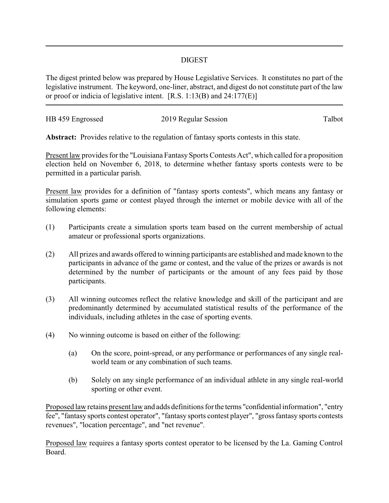## DIGEST

The digest printed below was prepared by House Legislative Services. It constitutes no part of the legislative instrument. The keyword, one-liner, abstract, and digest do not constitute part of the law or proof or indicia of legislative intent. [R.S. 1:13(B) and 24:177(E)]

| HB 459 Engrossed | 2019 Regular Session | Talbot |
|------------------|----------------------|--------|
|                  |                      |        |

**Abstract:** Provides relative to the regulation of fantasy sports contests in this state.

Present law provides for the "Louisiana Fantasy Sports Contests Act", which called for a proposition election held on November 6, 2018, to determine whether fantasy sports contests were to be permitted in a particular parish.

Present law provides for a definition of "fantasy sports contests", which means any fantasy or simulation sports game or contest played through the internet or mobile device with all of the following elements:

- (1) Participants create a simulation sports team based on the current membership of actual amateur or professional sports organizations.
- (2) All prizes and awards offered to winning participants are established and made known to the participants in advance of the game or contest, and the value of the prizes or awards is not determined by the number of participants or the amount of any fees paid by those participants.
- (3) All winning outcomes reflect the relative knowledge and skill of the participant and are predominantly determined by accumulated statistical results of the performance of the individuals, including athletes in the case of sporting events.
- (4) No winning outcome is based on either of the following:
	- (a) On the score, point-spread, or any performance or performances of any single realworld team or any combination of such teams.
	- (b) Solely on any single performance of an individual athlete in any single real-world sporting or other event.

Proposed law retains present law and adds definitions forthe terms "confidential information", "entry fee", "fantasy sports contest operator", "fantasy sports contest player", "gross fantasy sports contests revenues", "location percentage", and "net revenue".

Proposed law requires a fantasy sports contest operator to be licensed by the La. Gaming Control Board.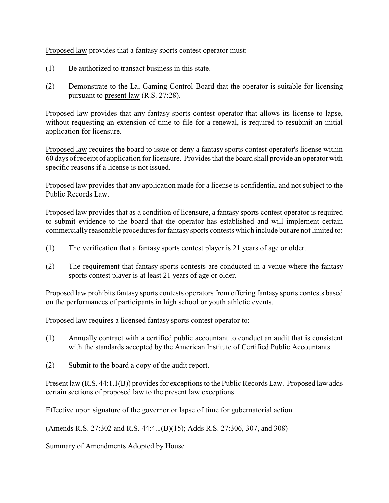Proposed law provides that a fantasy sports contest operator must:

- (1) Be authorized to transact business in this state.
- (2) Demonstrate to the La. Gaming Control Board that the operator is suitable for licensing pursuant to present law (R.S. 27:28).

Proposed law provides that any fantasy sports contest operator that allows its license to lapse, without requesting an extension of time to file for a renewal, is required to resubmit an initial application for licensure.

Proposed law requires the board to issue or deny a fantasy sports contest operator's license within 60 days of receipt of application for licensure. Provides that the board shall provide an operator with specific reasons if a license is not issued.

Proposed law provides that any application made for a license is confidential and not subject to the Public Records Law.

Proposed law provides that as a condition of licensure, a fantasy sports contest operator is required to submit evidence to the board that the operator has established and will implement certain commercially reasonable procedures for fantasy sports contests which include but are not limited to:

- (1) The verification that a fantasy sports contest player is 21 years of age or older.
- (2) The requirement that fantasy sports contests are conducted in a venue where the fantasy sports contest player is at least 21 years of age or older.

Proposed law prohibits fantasy sports contests operators from offering fantasy sports contests based on the performances of participants in high school or youth athletic events.

Proposed law requires a licensed fantasy sports contest operator to:

- (1) Annually contract with a certified public accountant to conduct an audit that is consistent with the standards accepted by the American Institute of Certified Public Accountants.
- (2) Submit to the board a copy of the audit report.

Present law (R.S. 44:1.1(B)) provides for exceptions to the Public Records Law. Proposed law adds certain sections of proposed law to the present law exceptions.

Effective upon signature of the governor or lapse of time for gubernatorial action.

(Amends R.S. 27:302 and R.S. 44:4.1(B)(15); Adds R.S. 27:306, 307, and 308)

Summary of Amendments Adopted by House